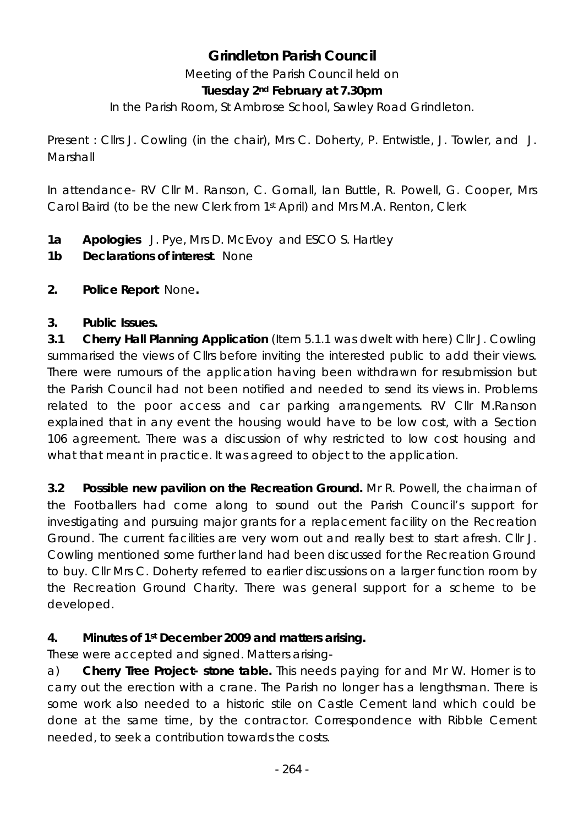# **Grindleton Parish Council**

Meeting of the Parish Council held on **Tuesday 2nd February at 7.30pm** 

In the Parish Room, St Ambrose School, Sawley Road Grindleton.

Present : Cllrs J. Cowling (in the chair), Mrs C. Doherty, P. Entwistle, J. Towler, and J. Marshall

In attendance- RV Cllr M. Ranson, C. Gornall, Ian Buttle, R. Powell, G. Cooper, Mrs Carol Baird (to be the new Clerk from 1st April) and Mrs M.A. Renton, Clerk

- **1a Apologies** J. Pye, Mrs D. McEvoy and ESCO S. Hartley
- **1b Declarations of interest**. None
- **2. Police Report** None**.**

### **3. Public Issues.**

**3.1 Cherry Hall Planning Application** (Item 5.1.1 was dwelt with here) Cllr J. Cowling summarised the views of Cllrs before inviting the interested public to add their views. There were rumours of the application having been withdrawn for resubmission but the Parish Council had not been notified and needed to send its views in. Problems related to the poor access and car parking arrangements. RV Cllr M.Ranson explained that in any event the housing would have to be low cost, with a Section 106 agreement. There was a discussion of why restricted to low cost housing and what that meant in practice. It was agreed to object to the application.

**3.2 Possible new pavilion on the Recreation Ground.** Mr R. Powell, the chairman of the Footballers had come along to sound out the Parish Council's support for investigating and pursuing major grants for a replacement facility on the Recreation Ground. The current facilities are very worn out and really best to start afresh. Cllr J. Cowling mentioned some further land had been discussed for the Recreation Ground to buy. Cllr Mrs C. Doherty referred to earlier discussions on a larger function room by the Recreation Ground Charity. There was general support for a scheme to be developed.

## **4. Minutes of 1st December 2009 and matters arising.**

These were accepted and signed. Matters arising-

a) **Cherry Tree Project- stone table.** This needs paying for and Mr W. Horner is to carry out the erection with a crane. The Parish no longer has a lengthsman. There is some work also needed to a historic stile on Castle Cement land which could be done at the same time, by the contractor. Correspondence with Ribble Cement needed, to seek a contribution towards the costs.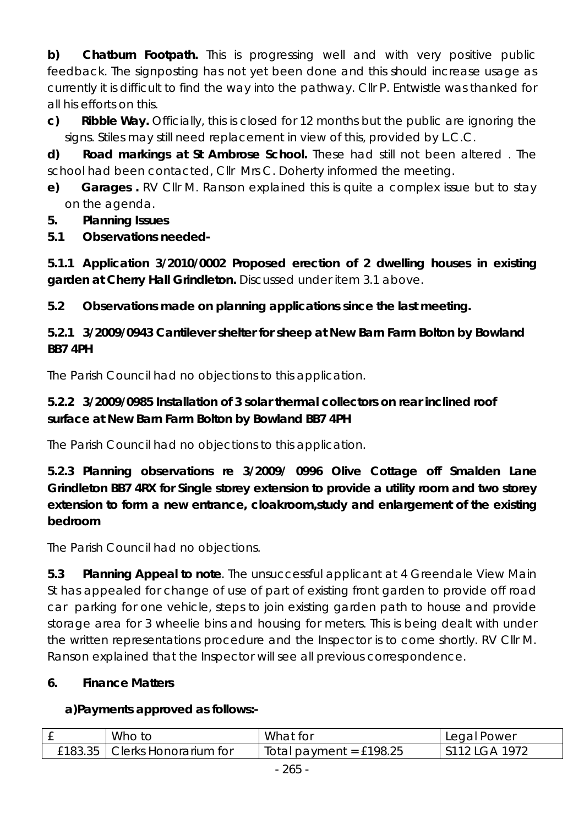**b) Chatburn Footpath.** This is progressing well and with very positive public feedback. The signposting has not yet been done and this should increase usage as currently it is difficult to find the way into the pathway. Cllr P. Entwistle was thanked for all his efforts on this.

**c) Ribble Way.** Officially, this is closed for 12 months but the public are ignoring the signs. Stiles may still need replacement in view of this, provided by L.C.C.

**d) Road markings at St Ambrose School.** These had still not been altered . The school had been contacted, Cllr Mrs C. Doherty informed the meeting.

- **e) Garages .** RV Cllr M. Ranson explained this is quite a complex issue but to stay on the agenda.
- **5. Planning Issues**
- **5.1 Observations needed-**

**5.1.1 Application 3/2010/0002 Proposed erection of 2 dwelling houses in existing garden at Cherry Hall Grindleton.** Discussed under item 3.1 above.

**5.2 Observations made on planning applications since the last meeting.** 

### **5.2.1 3/2009/0943 Cantilever shelter for sheep at New Barn Farm Bolton by Bowland BB7 4PH**

The Parish Council had no objections to this application.

## **5.2.2 3/2009/0985 Installation of 3 solar thermal collectors on rear inclined roof surface at New Barn Farm Bolton by Bowland BB7 4PH**

The Parish Council had no objections to this application.

**5.2.3 Planning observations re 3/2009/ 0996 Olive Cottage off Smalden Lane Grindleton BB7 4RX for Single storey extension to provide a utility room and two storey extension to form a new entrance, cloakroom,study and enlargement of the existing bedroom**

The Parish Council had no objections.

**5.3 Planning Appeal to note**. The unsuccessful applicant at 4 Greendale View Main St has appealed for change of use of part of existing front garden to provide off road car parking for one vehicle, steps to join existing garden path to house and provide storage area for 3 wheelie bins and housing for meters. This is being dealt with under the written representations procedure and the Inspector is to come shortly. RV Cllr M. Ranson explained that the Inspector will see all previous correspondence.

## **6. Finance Matters**

## **a)Payments approved as follows:-**

|         | Who to                | What for                            | Legal Power   |
|---------|-----------------------|-------------------------------------|---------------|
| £183.35 | Clerks Honorarium for | $^{\prime}$ Total payment = £198.25 | S112 LGA 1972 |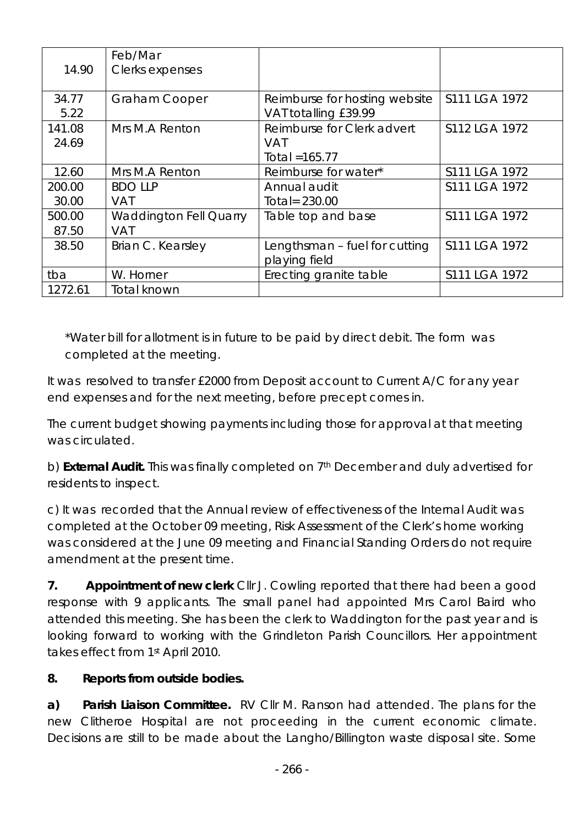| 14.90   | Feb/Mar<br>Clerks expenses    |                               |               |
|---------|-------------------------------|-------------------------------|---------------|
| 34.77   | <b>Graham Cooper</b>          | Reimburse for hosting website | S111 LGA 1972 |
| 5.22    |                               | VAT totalling £39.99          |               |
| 141.08  | Mrs M.A Renton                | Reimburse for Clerk advert    | S112 LGA 1972 |
| 24.69   |                               | <b>VAT</b>                    |               |
|         |                               | Total = $165.77$              |               |
| 12.60   | Mrs M.A Renton                | Reimburse for water*          | S111 LGA 1972 |
| 200.00  | <b>BDO LLP</b>                | Annual audit                  | S111 LGA 1972 |
| 30.00   | <b>VAT</b>                    | Total= 230.00                 |               |
| 500.00  | <b>Waddington Fell Quarry</b> | Table top and base            | S111 LGA 1972 |
| 87.50   | <b>VAT</b>                    |                               |               |
| 38.50   | Brian C. Kearsley             | Lengthsman - fuel for cutting | S111 LGA 1972 |
|         |                               | playing field                 |               |
| tba     | W. Horner                     | Erecting granite table        | S111 LGA 1972 |
| 1272.61 | Total known                   |                               |               |

\*Water bill for allotment is in future to be paid by direct debit. The form was completed at the meeting.

It was resolved to transfer £2000 from Deposit account to Current A/C for any year end expenses and for the next meeting, before precept comes in.

The current budget showing payments including those for approval at that meeting was circulated.

b) **External Audit.** This was finally completed on 7<sup>th</sup> December and duly advertised for residents to inspect.

c) It was recorded that the Annual review of effectiveness of the Internal Audit was completed at the October 09 meeting, Risk Assessment of the Clerk's home working was considered at the June 09 meeting and Financial Standing Orders do not require amendment at the present time.

**7.** Appointment of new clerk Cllr J. Cowling reported that there had been a good response with 9 applicants. The small panel had appointed Mrs Carol Baird who attended this meeting. She has been the clerk to Waddington for the past year and is looking forward to working with the Grindleton Parish Councillors. Her appointment takes effect from 1st April 2010.

#### **8. Reports from outside bodies.**

**a) Parish Liaison Committee.** RV Cllr M. Ranson had attended. The plans for the new Clitheroe Hospital are not proceeding in the current economic climate. Decisions are still to be made about the Langho/Billington waste disposal site. Some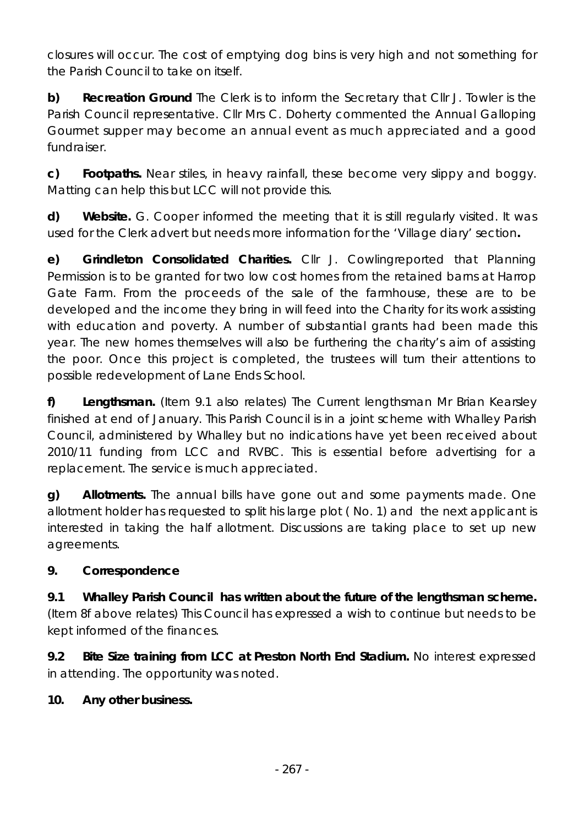closures will occur. The cost of emptying dog bins is very high and not something for the Parish Council to take on itself.

**b) Recreation Ground** The Clerk is to inform the Secretary that Cllr J. Towler is the Parish Council representative. Cllr Mrs C. Doherty commented the Annual Galloping Gourmet supper may become an annual event as much appreciated and a good fundraiser.

**c) Footpaths.** Near stiles, in heavy rainfall, these become very slippy and boggy. Matting can help this but LCC will not provide this.

**d)** Website. G. Cooper informed the meeting that it is still regularly visited. It was used for the Clerk advert but needs more information for the 'Village diary' section**.** 

**e) Grindleton Consolidated Charities.** Cllr J. Cowlingreported that Planning Permission is to be granted for two low cost homes from the retained barns at Harrop Gate Farm. From the proceeds of the sale of the farmhouse, these are to be developed and the income they bring in will feed into the Charity for its work assisting with education and poverty. A number of substantial grants had been made this year. The new homes themselves will also be furthering the charity's aim of assisting the poor. Once this project is completed, the trustees will turn their attentions to possible redevelopment of Lane Ends School.

**f) Lengthsman.** (Item 9.1 also relates) The Current lengthsman Mr Brian Kearsley finished at end of January. This Parish Council is in a joint scheme with Whalley Parish Council, administered by Whalley but no indications have yet been received about 2010/11 funding from LCC and RVBC. This is essential before advertising for a replacement. The service is much appreciated.

**g) Allotments.** The annual bills have gone out and some payments made. One allotment holder has requested to split his large plot ( No. 1) and the next applicant is interested in taking the half allotment. Discussions are taking place to set up new agreements.

#### **9. Correspondence**

**9.1 Whalley Parish Council has written about the future of the lengthsman scheme.**  (Item 8f above relates) This Council has expressed a wish to continue but needs to be kept informed of the finances.

**9.2 Bite Size training from LCC at Preston North End Stadium.** No interest expressed in attending. The opportunity was noted.

#### **10. Any other business.**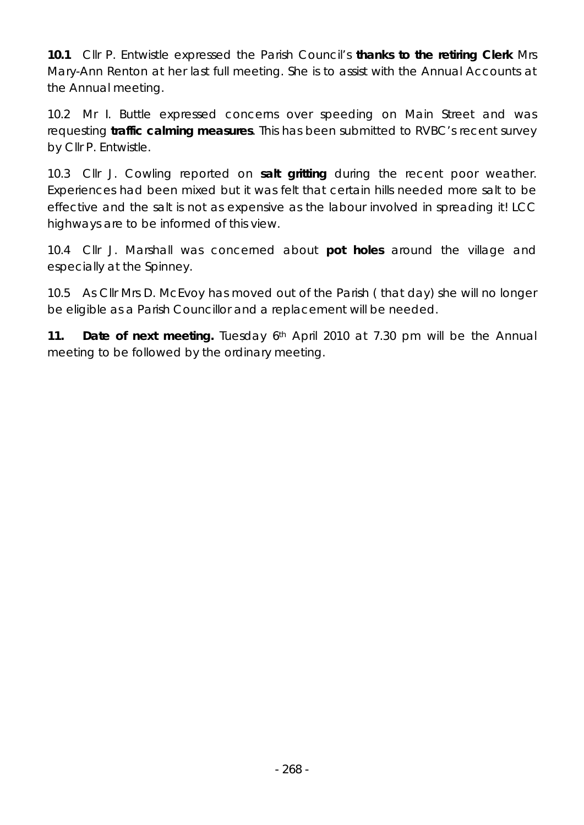**10.1** Cllr P. Entwistle expressed the Parish Council's **thanks to the retiring Clerk** Mrs Mary-Ann Renton at her last full meeting. She is to assist with the Annual Accounts at the Annual meeting.

10.2 Mr I. Buttle expressed concerns over speeding on Main Street and was requesting **traffic calming measures**. This has been submitted to RVBC's recent survey by Cllr P. Entwistle.

10.3 Cllr J. Cowling reported on **salt gritting** during the recent poor weather. Experiences had been mixed but it was felt that certain hills needed more salt to be effective and the salt is not as expensive as the labour involved in spreading it! LCC highways are to be informed of this view.

10.4 Cllr J. Marshall was concerned about **pot holes** around the village and especially at the Spinney.

10.5 As Cllr Mrs D. McEvoy has moved out of the Parish ( that day) she will no longer be eligible as a Parish Councillor and a replacement will be needed.

**11.** Date of next meeting. Tuesday 6<sup>th</sup> April 2010 at 7.30 pm will be the Annual meeting to be followed by the ordinary meeting.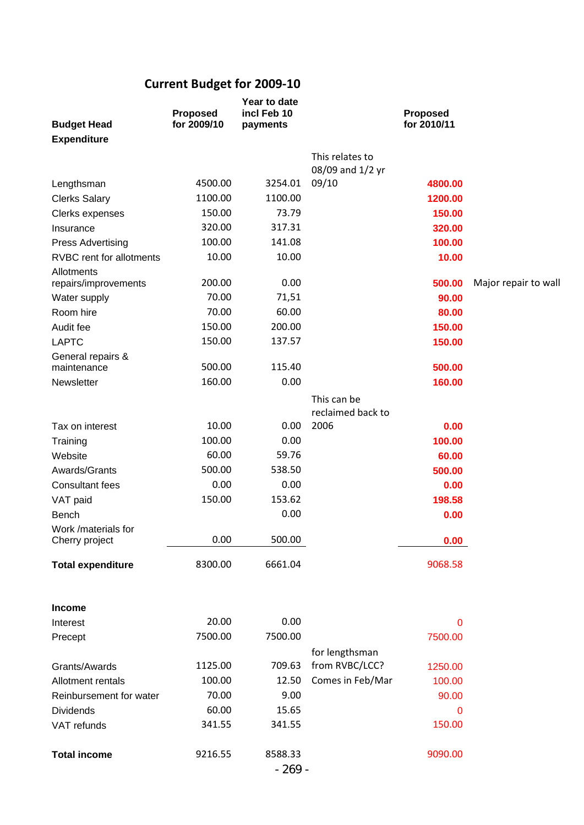# **Current Budget for 2009‐10**

| <b>Budget Head</b>                    | <b>Proposed</b><br>for 2009/10 | Year to date<br>incl Feb 10<br>payments |                                     | <b>Proposed</b><br>for 2010/11 |                      |
|---------------------------------------|--------------------------------|-----------------------------------------|-------------------------------------|--------------------------------|----------------------|
| <b>Expenditure</b>                    |                                |                                         |                                     |                                |                      |
|                                       |                                |                                         | This relates to<br>08/09 and 1/2 yr |                                |                      |
| Lengthsman                            | 4500.00                        | 3254.01                                 | 09/10                               | 4800.00                        |                      |
| <b>Clerks Salary</b>                  | 1100.00                        | 1100.00                                 |                                     | 1200.00                        |                      |
| Clerks expenses                       | 150.00                         | 73.79                                   |                                     | 150.00                         |                      |
| Insurance                             | 320.00                         | 317.31                                  |                                     | 320.00                         |                      |
| <b>Press Advertising</b>              | 100.00                         | 141.08                                  |                                     | 100.00                         |                      |
| RVBC rent for allotments              | 10.00                          | 10.00                                   |                                     | 10.00                          |                      |
| Allotments<br>repairs/improvements    | 200.00                         | 0.00                                    |                                     | 500.00                         | Major repair to wall |
| Water supply                          | 70.00                          | 71,51                                   |                                     | 90.00                          |                      |
| Room hire                             | 70.00                          | 60.00                                   |                                     | 80.00                          |                      |
| Audit fee                             | 150.00                         | 200.00                                  |                                     | 150.00                         |                      |
| <b>LAPTC</b>                          | 150.00                         | 137.57                                  |                                     | 150.00                         |                      |
| General repairs &<br>maintenance      | 500.00                         | 115.40                                  |                                     | 500.00                         |                      |
| Newsletter                            | 160.00                         | 0.00                                    |                                     | 160.00                         |                      |
|                                       |                                |                                         | This can be                         |                                |                      |
|                                       |                                |                                         | reclaimed back to                   |                                |                      |
| Tax on interest                       | 10.00                          | 0.00                                    | 2006                                | 0.00                           |                      |
| Training                              | 100.00                         | 0.00                                    |                                     | 100.00                         |                      |
| Website                               | 60.00                          | 59.76                                   |                                     | 60.00                          |                      |
| Awards/Grants                         | 500.00                         | 538.50                                  |                                     | 500.00                         |                      |
| <b>Consultant fees</b>                | 0.00                           | 0.00                                    |                                     | 0.00                           |                      |
| VAT paid                              | 150.00                         | 153.62                                  |                                     | 198.58                         |                      |
| Bench                                 |                                | 0.00                                    |                                     | 0.00                           |                      |
| Work /materials for<br>Cherry project | 0.00                           | 500.00                                  |                                     | 0.00                           |                      |
| <b>Total expenditure</b>              | 8300.00                        | 6661.04                                 |                                     | 9068.58                        |                      |
| Income                                |                                |                                         |                                     |                                |                      |
| Interest                              | 20.00                          | 0.00                                    |                                     | 0                              |                      |
| Precept                               | 7500.00                        | 7500.00                                 |                                     | 7500.00                        |                      |
|                                       |                                |                                         | for lengthsman                      |                                |                      |
| Grants/Awards                         | 1125.00                        | 709.63                                  | from RVBC/LCC?                      | 1250.00                        |                      |
| Allotment rentals                     | 100.00                         | 12.50                                   | Comes in Feb/Mar                    | 100.00                         |                      |
| Reinbursement for water               | 70.00                          | 9.00                                    |                                     | 90.00                          |                      |
| <b>Dividends</b>                      | 60.00                          | 15.65                                   |                                     | 0                              |                      |
| VAT refunds                           | 341.55                         | 341.55                                  |                                     | 150.00                         |                      |
| <b>Total income</b>                   | 9216.55                        | 8588.33                                 |                                     | 9090.00                        |                      |
|                                       |                                | $-269-$                                 |                                     |                                |                      |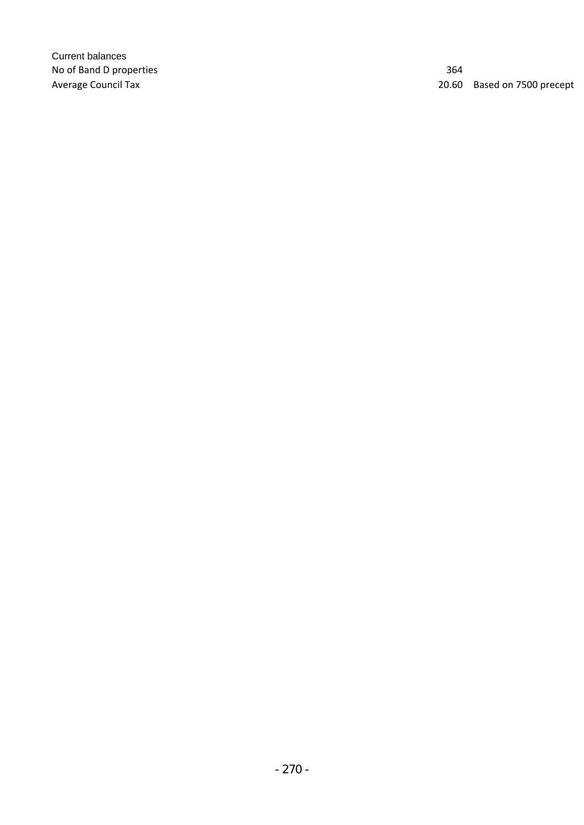Current balances No of Band D properties 364

Average Council Tax 20.60 Based on 7500 precept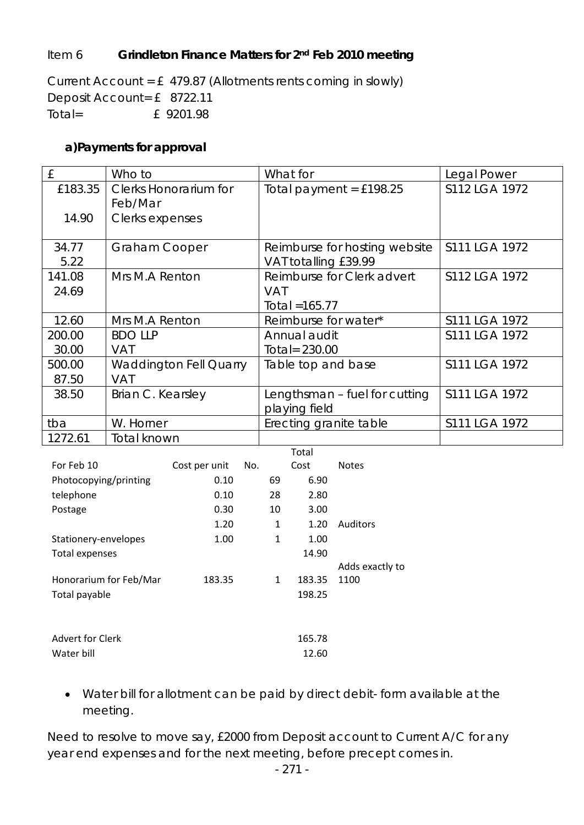#### Item 6 **Grindleton Finance Matters for 2nd Feb 2010 meeting**

Current Account = £ 479.87 (Allotments rents coming in slowly) Deposit Account= £ 8722.11  $Total =$   $f \quad 9201.98$ 

#### **a)Payments for approval**

| £                                                          | Who to                                  | What for                      | Legal Power   |  |
|------------------------------------------------------------|-----------------------------------------|-------------------------------|---------------|--|
| £183.35                                                    | <b>Clerks Honorarium for</b><br>Feb/Mar | Total payment = $£198.25$     | S112 LGA 1972 |  |
| 14.90                                                      | Clerks expenses                         |                               |               |  |
| 34.77                                                      | <b>Graham Cooper</b>                    | Reimburse for hosting website | S111 LGA 1972 |  |
| 5.22                                                       |                                         | VAT totalling £39.99          |               |  |
| 141.08                                                     | Mrs M.A Renton                          | Reimburse for Clerk advert    | S112 LGA 1972 |  |
| 24.69                                                      |                                         | <b>VAT</b>                    |               |  |
|                                                            |                                         | Total $=165.77$               |               |  |
| 12.60                                                      | Mrs M.A Renton                          | Reimburse for water*          | S111 LGA 1972 |  |
| 200.00                                                     | <b>BDO LLP</b>                          | Annual audit                  | S111 LGA 1972 |  |
| 30.00                                                      | <b>VAT</b>                              | Total= 230.00                 |               |  |
| 500.00                                                     | <b>Waddington Fell Quarry</b>           | Table top and base            | S111 LGA 1972 |  |
| 87.50                                                      | <b>VAT</b>                              |                               |               |  |
| 38.50                                                      | Brian C. Kearsley                       | Lengthsman - fuel for cutting | S111 LGA 1972 |  |
|                                                            |                                         | playing field                 |               |  |
| tba                                                        | W. Horner                               | Erecting granite table        | S111 LGA 1972 |  |
| 1272.61                                                    | Total known                             |                               |               |  |
| Total                                                      |                                         |                               |               |  |
| For Feb 10<br>Cost per unit<br>No.<br>Cost<br><b>Notes</b> |                                         |                               |               |  |
| Photocopying/printing<br>0.10                              |                                         | 69<br>6.90                    |               |  |
| talanhona<br><u>በ 1በ</u>                                   |                                         | ົາຂ<br>ว Q∩                   |               |  |

| Photocopying/printing  | 0.10   | 69           | 6.YU   |                 |
|------------------------|--------|--------------|--------|-----------------|
| telephone              | 0.10   | 28           | 2.80   |                 |
| Postage                | 0.30   | 10           | 3.00   |                 |
|                        | 1.20   | 1            | 1.20   | <b>Auditors</b> |
| Stationery-envelopes   | 1.00   | 1            | 1.00   |                 |
| Total expenses         |        |              | 14.90  |                 |
|                        |        |              |        | Adds exactly to |
| Honorarium for Feb/Mar | 183.35 | $\mathbf{1}$ | 183.35 | 1100            |
| Total payable          |        |              | 198.25 |                 |
|                        |        |              |        |                 |
|                        |        |              |        |                 |
| Advert for Clerk       |        |              | 165.78 |                 |
| Water bill             |        |              | 12.60  |                 |

• Water bill for allotment can be paid by direct debit- form available at the meeting.

Need to resolve to move say, £2000 from Deposit account to Current A/C for any year end expenses and for the next meeting, before precept comes in.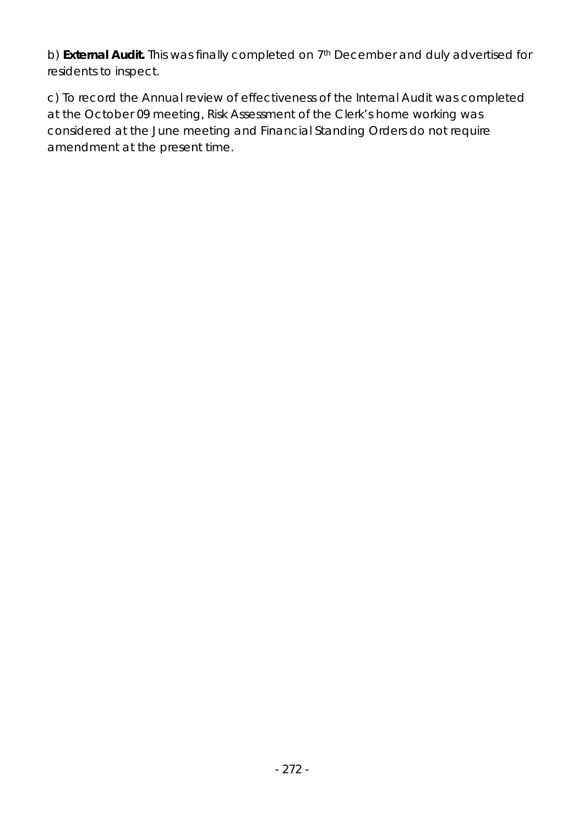b) **External Audit.** This was finally completed on 7th December and duly advertised for residents to inspect.

c) To record the Annual review of effectiveness of the Internal Audit was completed at the October 09 meeting, Risk Assessment of the Clerk's home working was considered at the June meeting and Financial Standing Orders do not require amendment at the present time.